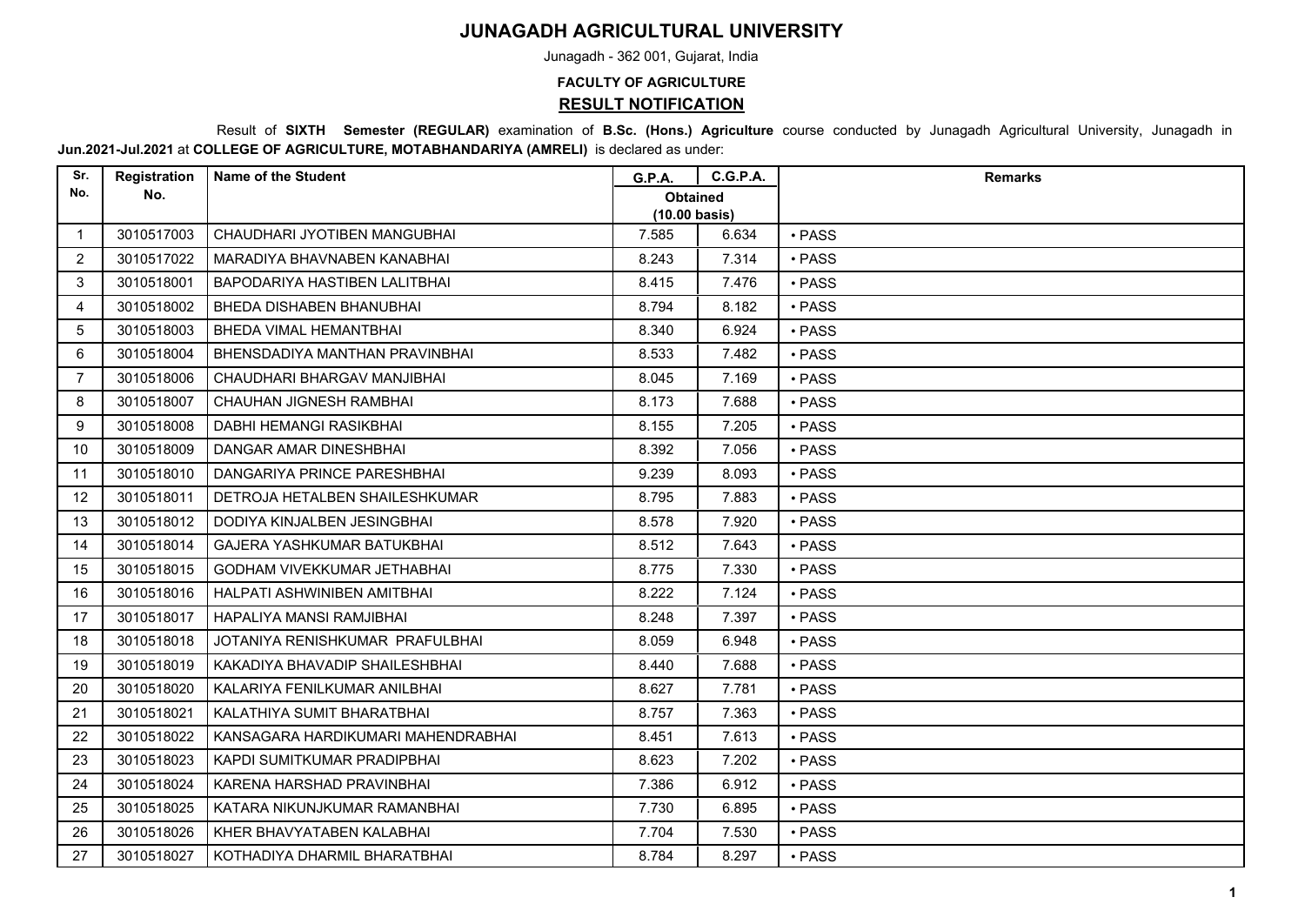## **JUNAGADH AGRICULTURAL UNIVERSITY**

Junagadh - 362 001, Gujarat, India

## **FACULTY OF AGRICULTURE RESULT NOTIFICATION**

 Result of **SIXTH Semester (REGULAR)** examination of **B.Sc. (Hons.) Agriculture** course conducted by Junagadh Agricultural University, Junagadh in **Jun.2021-Jul.2021** at **COLLEGE OF AGRICULTURE, MOTABHANDARIYA (AMRELI)** is declared as under:

| Sr.            | Registration | <b>Name of the Student</b>         | <b>G.P.A.</b>                   | <b>C.G.P.A.</b> | <b>Remarks</b> |
|----------------|--------------|------------------------------------|---------------------------------|-----------------|----------------|
| No.            | No.          |                                    | <b>Obtained</b>                 |                 |                |
| $\mathbf 1$    | 3010517003   | CHAUDHARI JYOTIBEN MANGUBHAI       | (10.00 basis)<br>7.585<br>6.634 |                 | • PASS         |
| 2              | 3010517022   | MARADIYA BHAVNABEN KANABHAI        | 8.243                           | 7.314           | • PASS         |
|                |              |                                    |                                 |                 |                |
| 3              | 3010518001   | BAPODARIYA HASTIBEN LALITBHAI      | 8.415                           | 7.476           | $\cdot$ PASS   |
| 4              | 3010518002   | BHEDA DISHABEN BHANUBHAI           | 8.794                           | 8.182           | $\cdot$ PASS   |
| 5              | 3010518003   | BHEDA VIMAL HEMANTBHAI             | 8.340                           | 6.924           | · PASS         |
| 6              | 3010518004   | BHENSDADIYA MANTHAN PRAVINBHAI     | 8.533                           | 7.482           | · PASS         |
| $\overline{7}$ | 3010518006   | CHAUDHARI BHARGAV MANJIBHAI        | 8.045                           | 7.169           | • PASS         |
| 8              | 3010518007   | CHAUHAN JIGNESH RAMBHAI            | 8.173                           | 7.688           | • PASS         |
| 9              | 3010518008   | DABHI HEMANGI RASIKBHAI            | 8.155                           | 7.205           | • PASS         |
| 10             | 3010518009   | DANGAR AMAR DINESHBHAI             | 8.392                           | 7.056           | · PASS         |
| 11             | 3010518010   | DANGARIYA PRINCE PARESHBHAI        | 9.239                           | 8.093           | • PASS         |
| 12             | 3010518011   | DETROJA HETALBEN SHAILESHKUMAR     | 8.795                           | 7.883           | $\cdot$ PASS   |
| 13             | 3010518012   | DODIYA KINJALBEN JESINGBHAI        | 8.578                           | 7.920           | · PASS         |
| 14             | 3010518014   | <b>GAJERA YASHKUMAR BATUKBHAI</b>  | 8.512                           | 7.643           | • PASS         |
| 15             | 3010518015   | <b>GODHAM VIVEKKUMAR JETHABHAI</b> | 8.775                           | 7.330           | · PASS         |
| 16             | 3010518016   | HALPATI ASHWINIBEN AMITBHAI        | 8.222                           | 7.124           | · PASS         |
| 17             | 3010518017   | HAPALIYA MANSI RAMJIBHAI           | 8.248                           | 7.397           | · PASS         |
| 18             | 3010518018   | JOTANIYA RENISHKUMAR PRAFULBHAI    | 8.059                           | 6.948           | • PASS         |
| 19             | 3010518019   | KAKADIYA BHAVADIP SHAILESHBHAI     | 8.440                           | 7.688           | · PASS         |
| 20             | 3010518020   | KALARIYA FENILKUMAR ANILBHAI       | 8.627                           | 7.781           | · PASS         |
| 21             | 3010518021   | KALATHIYA SUMIT BHARATBHAI         | 8.757                           | 7.363           | • PASS         |
| 22             | 3010518022   | KANSAGARA HARDIKUMARI MAHENDRABHAI | 8.451                           | 7.613           | · PASS         |
| 23             | 3010518023   | KAPDI SUMITKUMAR PRADIPBHAI        | 8.623                           | 7.202           | · PASS         |
| 24             | 3010518024   | KARENA HARSHAD PRAVINBHAI          | 7.386                           | 6.912           | · PASS         |
| 25             | 3010518025   | KATARA NIKUNJKUMAR RAMANBHAI       | 7.730                           | 6.895           | • PASS         |
| 26             | 3010518026   | KHER BHAVYATABEN KALABHAI          | 7.704                           | 7.530           | • PASS         |
| 27             | 3010518027   | KOTHADIYA DHARMIL BHARATBHAI       | 8.784                           | 8.297           | • PASS         |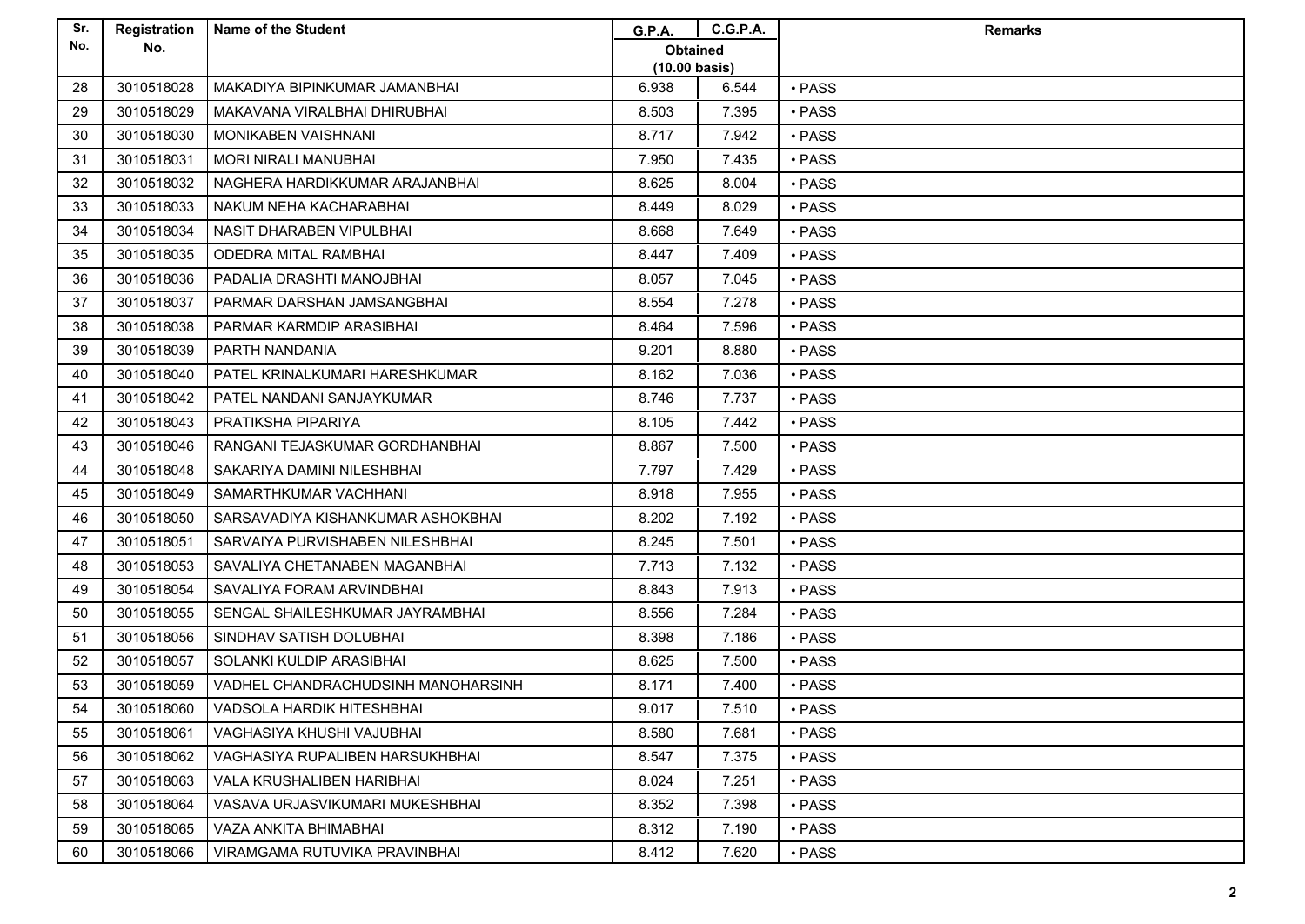| Sr. | Registration | <b>Name of the Student</b>         | <b>G.P.A.</b>           | <b>C.G.P.A.</b> | <b>Remarks</b> |
|-----|--------------|------------------------------------|-------------------------|-----------------|----------------|
| No. | No.          |                                    | <b>Obtained</b>         |                 |                |
|     |              |                                    | $(10.00 \text{ basis})$ |                 |                |
| 28  | 3010518028   | MAKADIYA BIPINKUMAR JAMANBHAI      | 6.938                   | 6.544           | $\cdot$ PASS   |
| 29  | 3010518029   | MAKAVANA VIRALBHAI DHIRUBHAI       | 8.503                   | 7.395           | • PASS         |
| 30  | 3010518030   | MONIKABEN VAISHNANI                | 8.717                   | 7.942           | • PASS         |
| 31  | 3010518031   | <b>MORI NIRALI MANUBHAI</b>        | 7.950                   | 7.435           | • PASS         |
| 32  | 3010518032   | NAGHERA HARDIKKUMAR ARAJANBHAI     | 8.625                   | 8.004           | • PASS         |
| 33  | 3010518033   | NAKUM NEHA KACHARABHAI             | 8.449                   | 8.029           | $\cdot$ PASS   |
| 34  | 3010518034   | NASIT DHARABEN VIPULBHAI           | 8.668                   | 7.649           | $\cdot$ PASS   |
| 35  | 3010518035   | <b>ODEDRA MITAL RAMBHAI</b>        | 8.447                   | 7.409           | • PASS         |
| 36  | 3010518036   | PADALIA DRASHTI MANOJBHAI          | 8.057                   | 7.045           | • PASS         |
| 37  | 3010518037   | PARMAR DARSHAN JAMSANGBHAI         | 8.554                   | 7.278           | · PASS         |
| 38  | 3010518038   | PARMAR KARMDIP ARASIBHAI           | 8.464                   | 7.596           | • PASS         |
| 39  | 3010518039   | PARTH NANDANIA                     | 9.201                   | 8.880           | • PASS         |
| 40  | 3010518040   | PATEL KRINALKUMARI HARESHKUMAR     | 8.162                   | 7.036           | • PASS         |
| 41  | 3010518042   | PATEL NANDANI SANJAYKUMAR          | 8.746                   | 7.737           | · PASS         |
| 42  | 3010518043   | PRATIKSHA PIPARIYA                 | 8.105                   | 7.442           | $\cdot$ PASS   |
| 43  | 3010518046   | RANGANI TEJASKUMAR GORDHANBHAI     | 8.867                   | 7.500           | • PASS         |
| 44  | 3010518048   | SAKARIYA DAMINI NILESHBHAI         | 7.797                   | 7.429           | • PASS         |
| 45  | 3010518049   | SAMARTHKUMAR VACHHANI              | 8.918                   | 7.955           | • PASS         |
| 46  | 3010518050   | SARSAVADIYA KISHANKUMAR ASHOKBHAI  | 8.202                   | 7.192           | · PASS         |
| 47  | 3010518051   | SARVAIYA PURVISHABEN NILESHBHAI    | 8.245                   | 7.501           | • PASS         |
| 48  | 3010518053   | SAVALIYA CHETANABEN MAGANBHAI      | 7.713                   | 7.132           | • PASS         |
| 49  | 3010518054   | SAVALIYA FORAM ARVINDBHAI          | 8.843                   | 7.913           | $\cdot$ PASS   |
| 50  | 3010518055   | SENGAL SHAILESHKUMAR JAYRAMBHAI    | 8.556                   | 7.284           | • PASS         |
| 51  | 3010518056   | SINDHAV SATISH DOLUBHAI            | 8.398                   | 7.186           | • PASS         |
| 52  | 3010518057   | SOLANKI KULDIP ARASIBHAI           | 8.625                   | 7.500           | • PASS         |
| 53  | 3010518059   | VADHEL CHANDRACHUDSINH MANOHARSINH | 8.171                   | 7.400           | • PASS         |
| 54  | 3010518060   | VADSOLA HARDIK HITESHBHAI          | 9.017                   | 7.510           | • PASS         |
| 55  | 3010518061   | VAGHASIYA KHUSHI VAJUBHAI          | 8.580                   | 7.681           | • PASS         |
| 56  | 3010518062   | VAGHASIYA RUPALIBEN HARSUKHBHAI    | 8.547                   | 7.375           | $\cdot$ PASS   |
| 57  | 3010518063   | VALA KRUSHALIBEN HARIBHAI          | 8.024                   | 7.251           | • PASS         |
| 58  | 3010518064   | VASAVA URJASVIKUMARI MUKESHBHAI    | 8.352                   | 7.398           | • PASS         |
| 59  | 3010518065   | VAZA ANKITA BHIMABHAI              | 8.312                   | 7.190           | • PASS         |
| 60  | 3010518066   | VIRAMGAMA RUTUVIKA PRAVINBHAI      | 8.412                   | 7.620           | • PASS         |